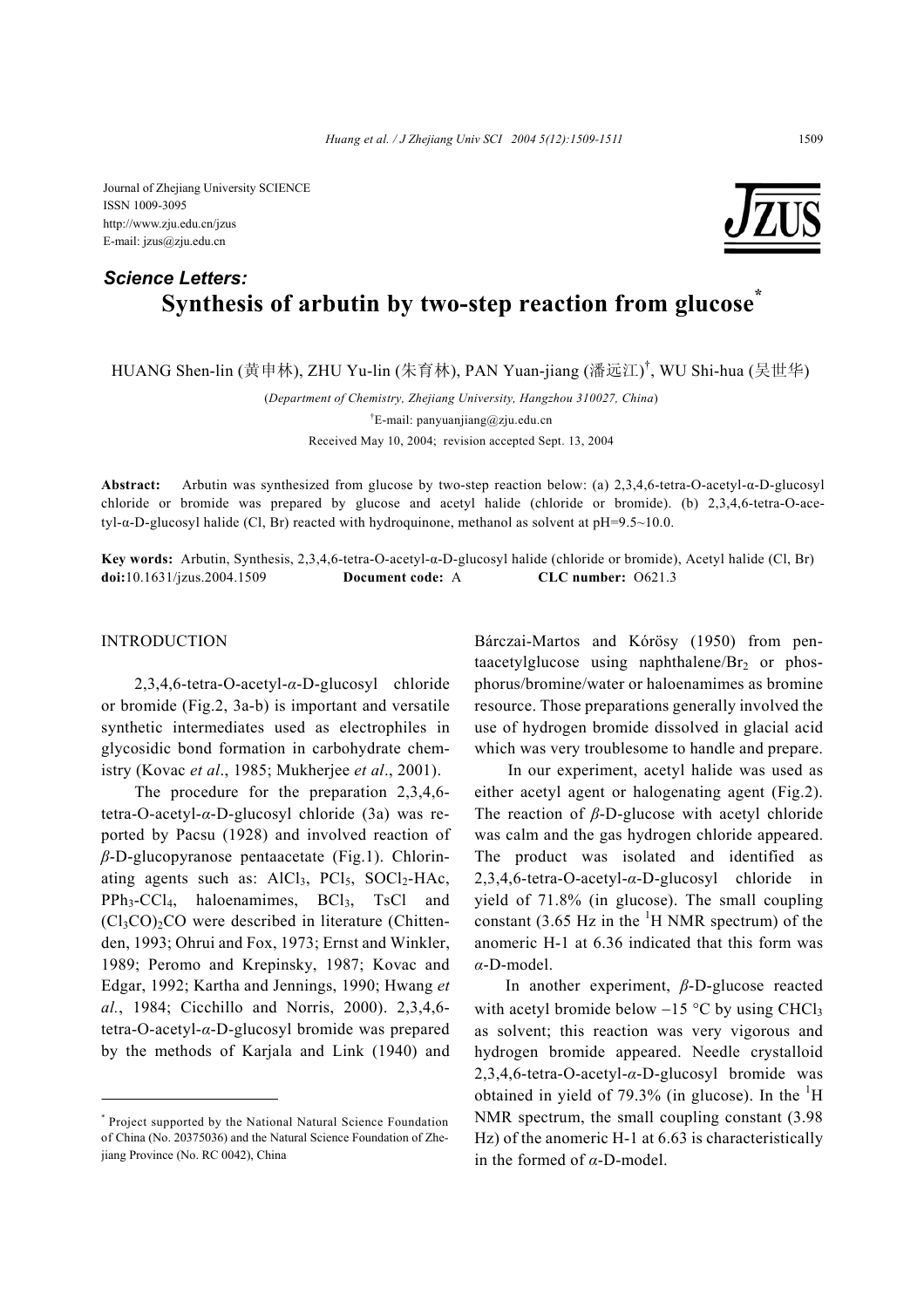Journal of Zhejiang University SCIENCE ISSN 1009-3095 http://www.zju.edu.cn/jzus E-mail: jzus@zju.edu.cn

# **Synthesis of arbutin by two-step reaction from glucose\*** *Science Letters:*

HUANG Shen-lin (黄申林), ZHU Yu-lin (朱育林), PAN Yuan-jiang (潘远江) † , WU Shi-hua (吴世华)

(*Department of Chemistry, Zhejiang University, Hangzhou 310027, China*) † E-mail: panyuanjiang@zju.edu.cn Received May 10, 2004; revision accepted Sept. 13, 2004

**Abstract:** Arbutin was synthesized from glucose by two-step reaction below: (a) 2,3,4,6-tetra-O-acetyl-α-D-glucosyl chloride or bromide was prepared by glucose and acetyl halide (chloride or bromide). (b) 2,3,4,6-tetra-O-ace $tyl-\alpha-D-glucosyl$  halide (Cl, Br) reacted with hydroquinone, methanol as solvent at  $pH=9.5~10.0$ .

**Key words:** Arbutin, Synthesis, 2,3,4,6-tetra-O-acetyl-α-D-glucosyl halide (chloride or bromide), Acetyl halide (Cl, Br) **doi:**10.1631/jzus.2004.1509 **Document code:** A **CLC number:** O621.3

### INTRODUCTION

2,3,4,6-tetra-O-acetyl-*α*-D-glucosyl chloride or bromide (Fig.2, 3a-b) is important and versatile synthetic intermediates used as electrophiles in glycosidic bond formation in carbohydrate chemistry (Kovac *et al*., 1985; Mukherjee *et al*., 2001).

The procedure for the preparation 2,3,4,6 tetra-O-acetyl-*α*-D-glucosyl chloride (3a) was reported by Pacsu (1928) and involved reaction of *β*-D-glucopyranose pentaacetate (Fig.1). Chlorinating agents such as:  $AICI_3$ ,  $PCI_5$ ,  $SOCI_2-HAc$ ,  $PPh_3-CCl_4$ , haloenamimes,  $BCl_3$ ,  $TsCl$  and  $(Cl_3CO)_2CO$  were described in literature (Chittenden, 1993; Ohrui and Fox, 1973; Ernst and Winkler, 1989; Peromo and Krepinsky, 1987; Kovac and Edgar, 1992; Kartha and Jennings, 1990; Hwang *et al.*, 1984; Cicchillo and Norris, 2000). 2,3,4,6 tetra-O-acetyl-*α*-D-glucosyl bromide was prepared by the methods of Karjala and Link (1940) and Bárczai-Martos and Kórösy (1950) from pentaacetylglucose using naphthalene/ $Br<sub>2</sub>$  or phosphorus/bromine/water or haloenamimes as bromine resource. Those preparations generally involved the use of hydrogen bromide dissolved in glacial acid which was very troublesome to handle and prepare.

In our experiment, acetyl halide was used as either acetyl agent or halogenating agent (Fig.2). The reaction of *β*-D-glucose with acetyl chloride was calm and the gas hydrogen chloride appeared. The product was isolated and identified as 2,3,4,6-tetra-O-acetyl-*α*-D-glucosyl chloride in yield of 71.8% (in glucose). The small coupling constant (3.65 Hz in the  ${}^{1}$ H NMR spectrum) of the anomeric H-1 at 6.36 indicated that this form was *α*-D-model.

In another experiment, *β*-D-glucose reacted with acetyl bromide below  $-15$  °C by using CHCl<sub>3</sub> as solvent; this reaction was very vigorous and hydrogen bromide appeared. Needle crystalloid 2,3,4,6-tetra-O-acetyl-*α*-D-glucosyl bromide was obtained in yield of 79.3% (in glucose). In the  ${}^{1}H$ NMR spectrum, the small coupling constant (3.98 Hz) of the anomeric H-1 at 6.63 is characteristically in the formed of *α*-D-model.



<sup>\*</sup> Project supported by the National Natural Science Foundation of China (No. 20375036) and the Natural Science Foundation of Zhejiang Province (No. RC 0042), China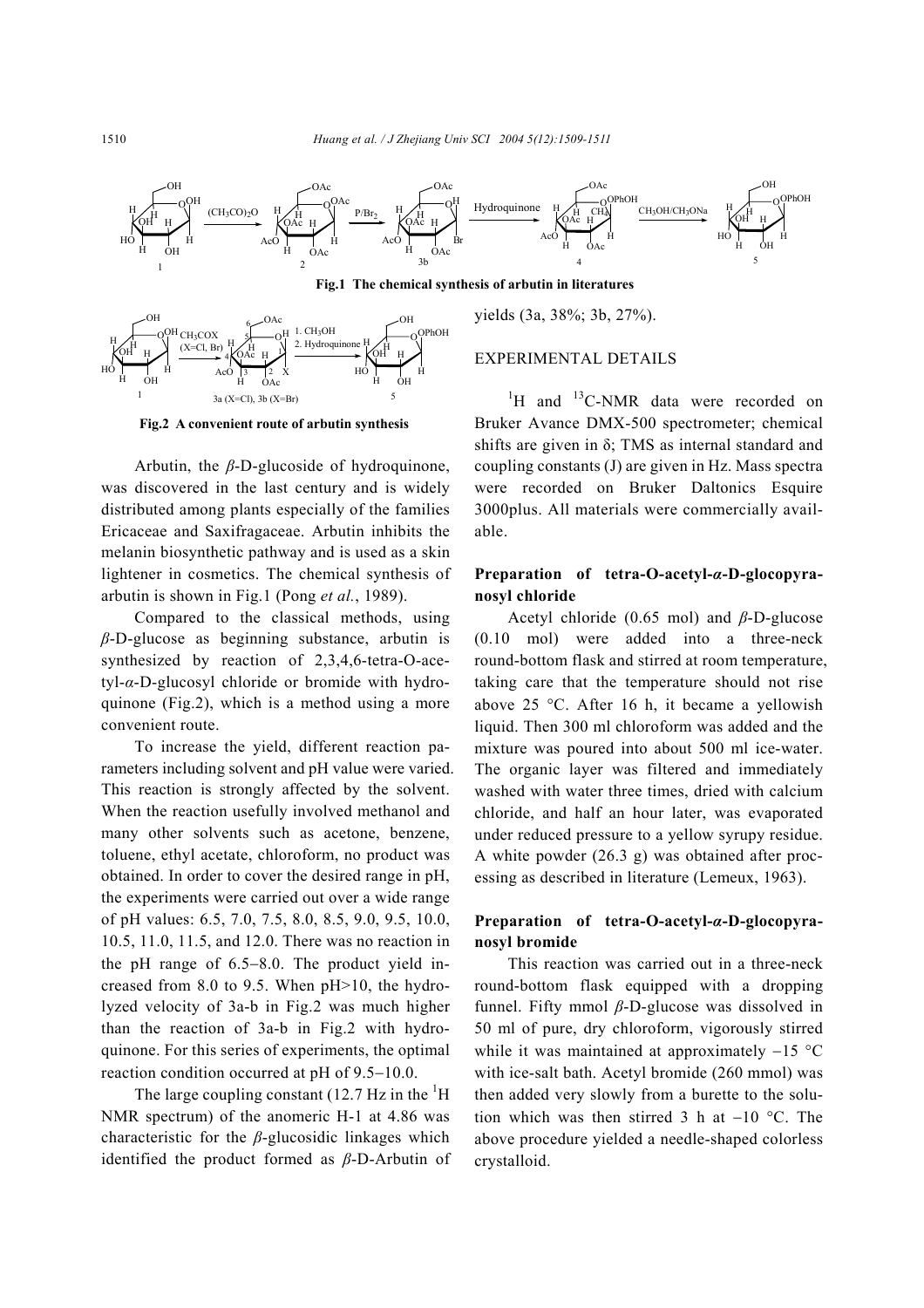

**Fig.1 The chemical synthesis of arbutin in literatures** 



**Fig.2 A convenient route of arbutin synthesis** 

Arbutin, the *β*-D-glucoside of hydroquinone, was discovered in the last century and is widely distributed among plants especially of the families Ericaceae and Saxifragaceae. Arbutin inhibits the melanin biosynthetic pathway and is used as a skin lightener in cosmetics. The chemical synthesis of arbutin is shown in Fig.1 (Pong *et al.*, 1989).

Compared to the classical methods, using *β*-D-glucose as beginning substance, arbutin is synthesized by reaction of 2,3,4,6-tetra-O-acetyl-*α*-D-glucosyl chloride or bromide with hydroquinone (Fig.2), which is a method using a more convenient route.

To increase the yield, different reaction parameters including solvent and pH value were varied. This reaction is strongly affected by the solvent. When the reaction usefully involved methanol and many other solvents such as acetone, benzene, toluene, ethyl acetate, chloroform, no product was obtained. In order to cover the desired range in pH, the experiments were carried out over a wide range of pH values: 6.5, 7.0, 7.5, 8.0, 8.5, 9.0, 9.5, 10.0, 10.5, 11.0, 11.5, and 12.0. There was no reaction in the pH range of 6.5−8.0. The product yield increased from 8.0 to 9.5. When pH>10, the hydrolyzed velocity of 3a-b in Fig.2 was much higher than the reaction of 3a-b in Fig.2 with hydroquinone. For this series of experiments, the optimal reaction condition occurred at pH of 9.5−10.0.

The large coupling constant (12.7 Hz in the  ${}^{1}$ H NMR spectrum) of the anomeric H-1 at 4.86 was characteristic for the *β*-glucosidic linkages which identified the product formed as *β*-D-Arbutin of

yields (3a, 38%; 3b, 27%).

### EXPERIMENTAL DETAILS

 ${}^{1}$ H and  ${}^{13}$ C-NMR data were recorded on Bruker Avance DMX-500 spectrometer; chemical shifts are given in  $\delta$ ; TMS as internal standard and coupling constants (J) are given in Hz. Mass spectra were recorded on Bruker Daltonics Esquire 3000plus. All materials were commercially available.

### **Preparation of tetra-O-acetyl-***α***-D-glocopyranosyl chloride**

Acetyl chloride (0.65 mol) and *β*-D-glucose (0.10 mol) were added into a three-neck round-bottom flask and stirred at room temperature, taking care that the temperature should not rise above 25 °C. After 16 h, it became a yellowish liquid. Then 300 ml chloroform was added and the mixture was poured into about 500 ml ice-water. The organic layer was filtered and immediately washed with water three times, dried with calcium chloride, and half an hour later, was evaporated under reduced pressure to a yellow syrupy residue. A white powder (26.3 g) was obtained after processing as described in literature (Lemeux, 1963).

## **Preparation of tetra-O-acetyl-***α***-D-glocopyranosyl bromide**

This reaction was carried out in a three-neck round-bottom flask equipped with a dropping funnel. Fifty mmol *β*-D-glucose was dissolved in 50 ml of pure, dry chloroform, vigorously stirred while it was maintained at approximately −15 °C with ice-salt bath. Acetyl bromide (260 mmol) was then added very slowly from a burette to the solution which was then stirred 3 h at −10 °C. The above procedure yielded a needle-shaped colorless crystalloid.